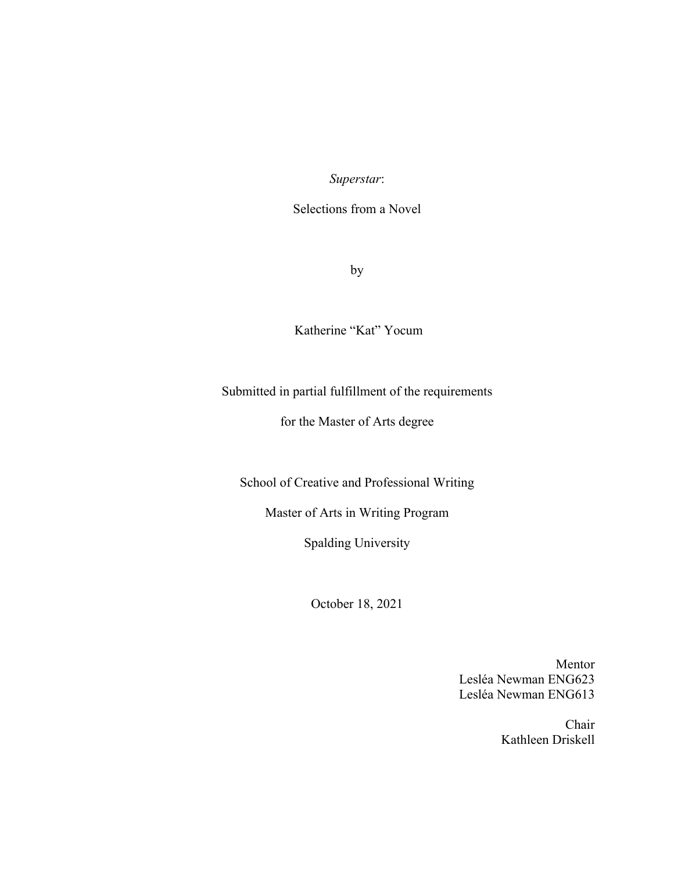*Superstar*:

Selections from a Novel

by

Katherine "Kat" Yocum

# Submitted in partial fulfillment of the requirements

# for the Master of Arts degree

School of Creative and Professional Writing

Master of Arts in Writing Program

Spalding University

October 18, 2021

Mentor Lesléa Newman ENG623 Lesléa Newman ENG613

> Chair Kathleen Driskell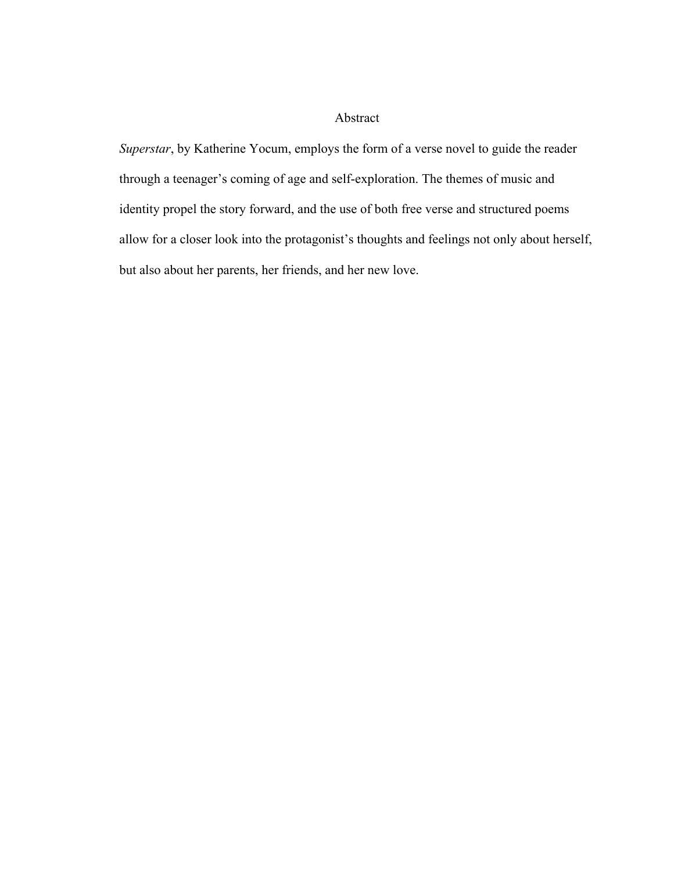## Abstract

*Superstar*, by Katherine Yocum, employs the form of a verse novel to guide the reader through a teenager's coming of age and self-exploration. The themes of music and identity propel the story forward, and the use of both free verse and structured poems allow for a closer look into the protagonist's thoughts and feelings not only about herself, but also about her parents, her friends, and her new love.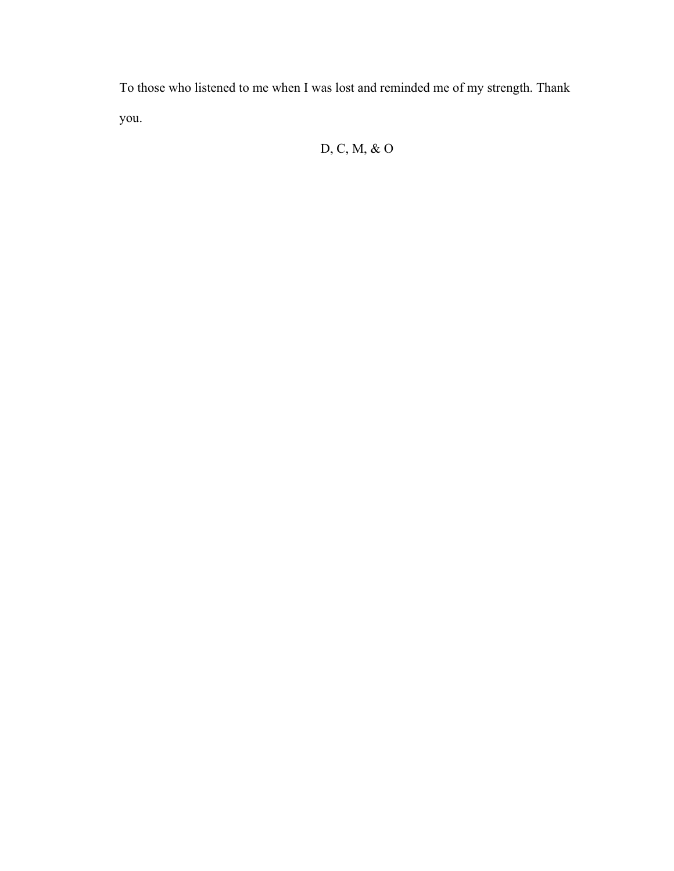To those who listened to me when I was lost and reminded me of my strength. Thank you.

# D, C, M, & O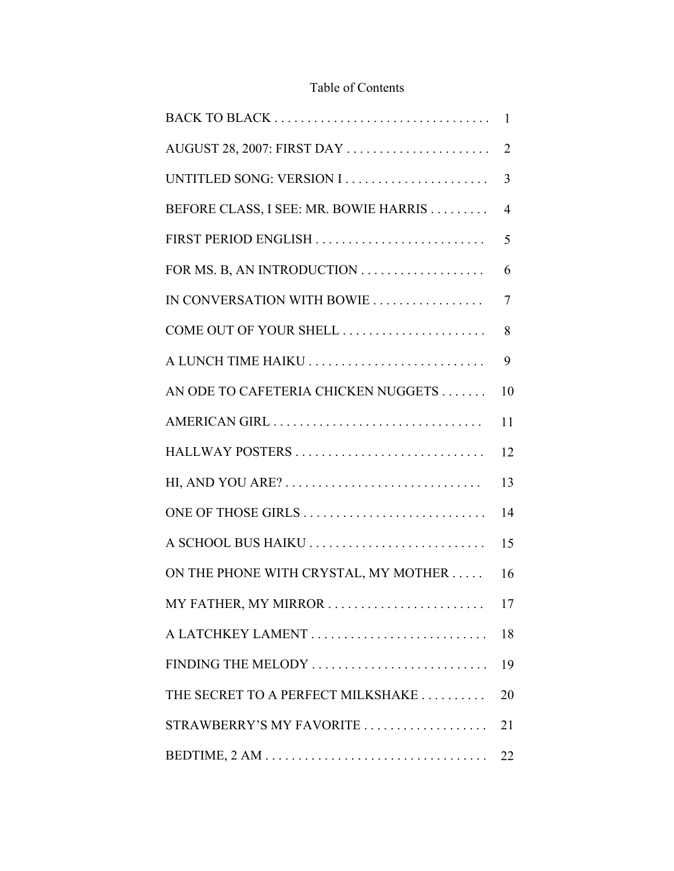# Table of Contents

|                                       | 1              |
|---------------------------------------|----------------|
| AUGUST 28, 2007: FIRST DAY            | $\overline{2}$ |
|                                       | 3              |
| BEFORE CLASS, I SEE: MR. BOWIE HARRIS | 4              |
| FIRST PERIOD ENGLISH                  | 5              |
|                                       | 6              |
| IN CONVERSATION WITH BOWIE            | $\tau$         |
| COME OUT OF YOUR SHELL                | 8              |
| A LUNCH TIME HAIKU                    | 9              |
| AN ODE TO CAFETERIA CHICKEN NUGGETS   | 10             |
|                                       | 11             |
| HALLWAY POSTERS                       | 12             |
|                                       | 13             |
| ONE OF THOSE GIRLS                    | 14             |
| A SCHOOL BUS HAIKU                    | 15             |
| ON THE PHONE WITH CRYSTAL, MY MOTHER  | 16             |
| MY FATHER, MY MIRROR                  | 17             |
| A LATCHKEY LAMENT                     | 18             |
| FINDING THE MELODY                    | 19             |
| THE SECRET TO A PERFECT MILKSHAKE     | 20             |
| STRAWBERRY'S MY FAVORITE              | 21             |
|                                       | 22             |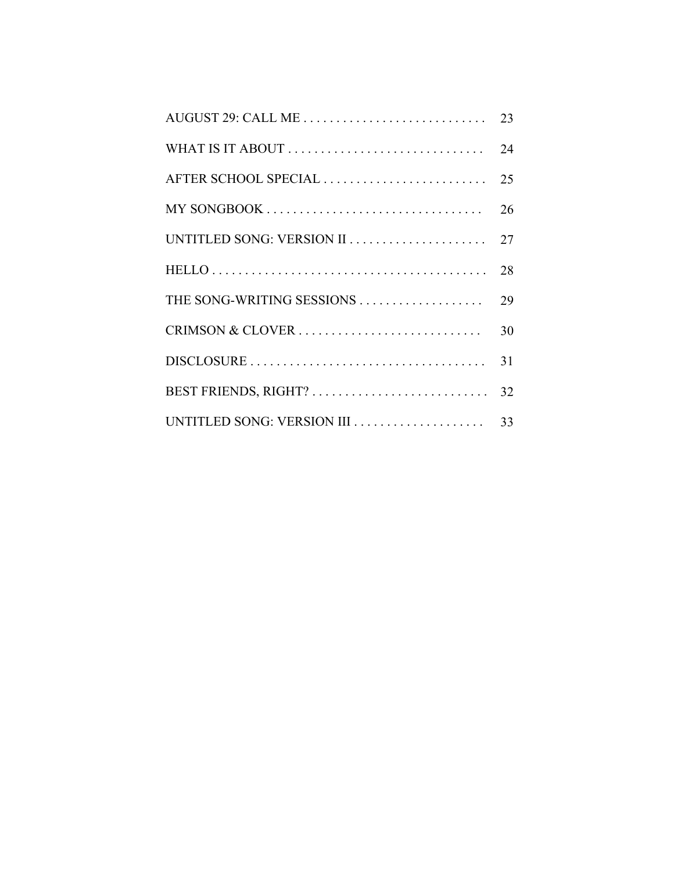| AUGUST 29: CALL ME        | 23 |
|---------------------------|----|
|                           | 24 |
| AFTER SCHOOL SPECIAL      | 25 |
|                           | 26 |
| UNTITLED SONG: VERSION II | 27 |
|                           | 28 |
| THE SONG-WRITING SESSIONS | 29 |
| CRIMSON & CLOVER          | 30 |
|                           | 31 |
| BEST FRIENDS, RIGHT?      | 32 |
|                           | 33 |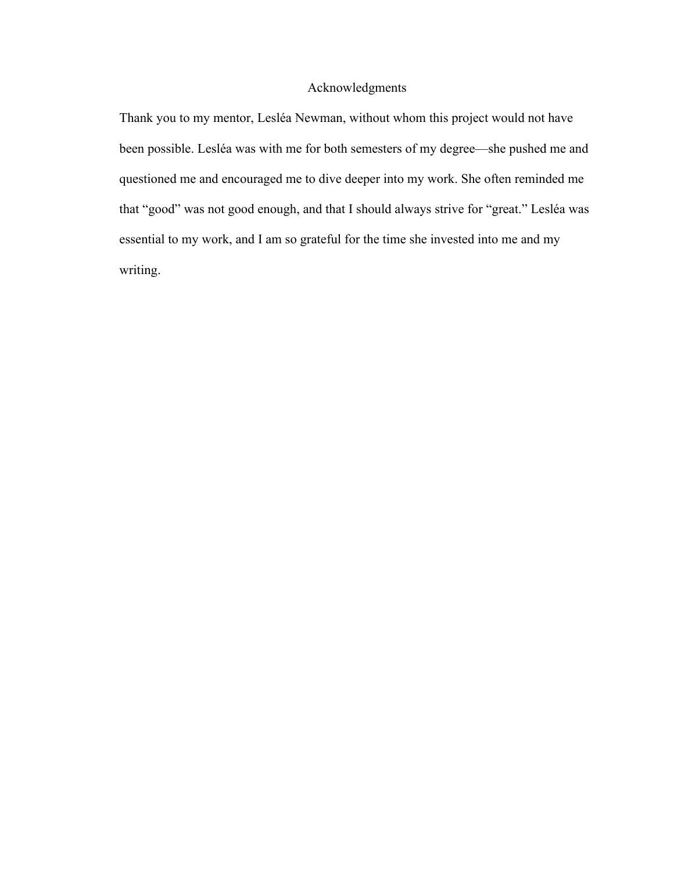### Acknowledgments

Thank you to my mentor, Lesléa Newman, without whom this project would not have been possible. Lesléa was with me for both semesters of my degree—she pushed me and questioned me and encouraged me to dive deeper into my work. She often reminded me that "good" was not good enough, and that I should always strive for "great." Lesléa was essential to my work, and I am so grateful for the time she invested into me and my writing.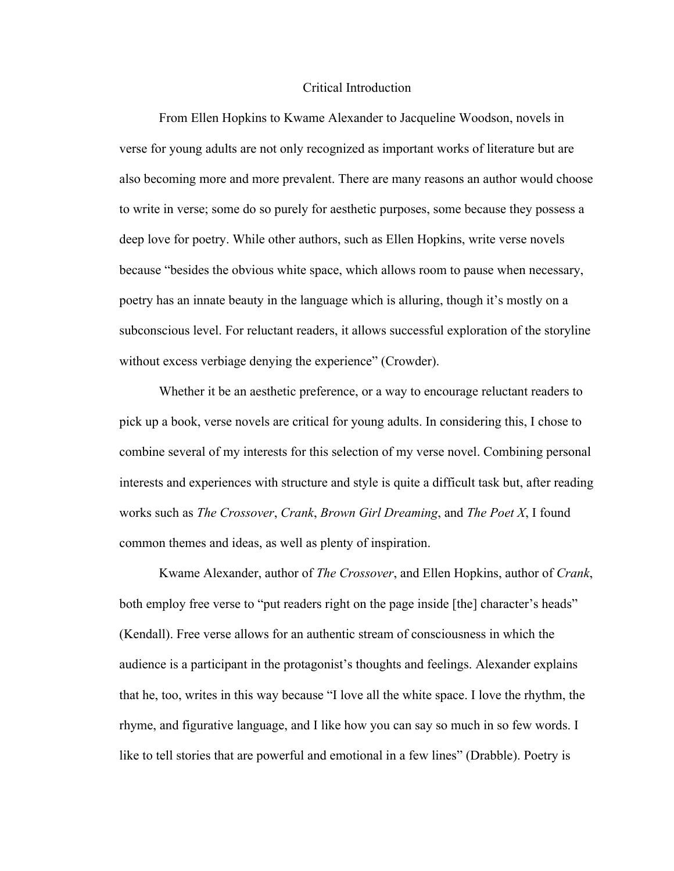#### Critical Introduction

From Ellen Hopkins to Kwame Alexander to Jacqueline Woodson, novels in verse for young adults are not only recognized as important works of literature but are also becoming more and more prevalent. There are many reasons an author would choose to write in verse; some do so purely for aesthetic purposes, some because they possess a deep love for poetry. While other authors, such as Ellen Hopkins, write verse novels because "besides the obvious white space, which allows room to pause when necessary, poetry has an innate beauty in the language which is alluring, though it's mostly on a subconscious level. For reluctant readers, it allows successful exploration of the storyline without excess verbiage denying the experience" (Crowder).

Whether it be an aesthetic preference, or a way to encourage reluctant readers to pick up a book, verse novels are critical for young adults. In considering this, I chose to combine several of my interests for this selection of my verse novel. Combining personal interests and experiences with structure and style is quite a difficult task but, after reading works such as *The Crossover*, *Crank*, *Brown Girl Dreaming*, and *The Poet X*, I found common themes and ideas, as well as plenty of inspiration.

Kwame Alexander, author of *The Crossover*, and Ellen Hopkins, author of *Crank*, both employ free verse to "put readers right on the page inside [the] character's heads" (Kendall). Free verse allows for an authentic stream of consciousness in which the audience is a participant in the protagonist's thoughts and feelings. Alexander explains that he, too, writes in this way because "I love all the white space. I love the rhythm, the rhyme, and figurative language, and I like how you can say so much in so few words. I like to tell stories that are powerful and emotional in a few lines" (Drabble). Poetry is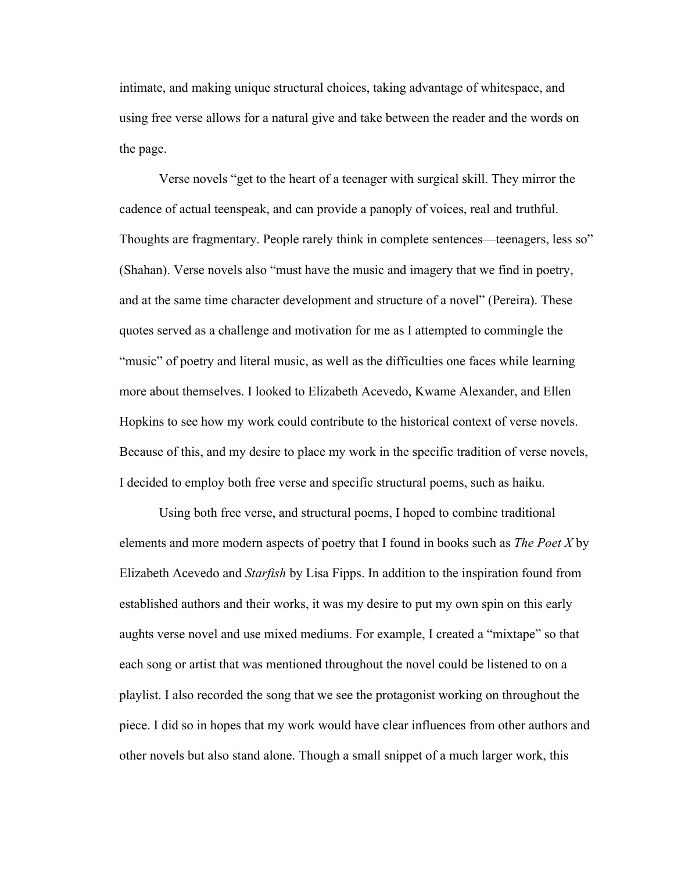intimate, and making unique structural choices, taking advantage of whitespace, and using free verse allows for a natural give and take between the reader and the words on the page.

Verse novels "get to the heart of a teenager with surgical skill. They mirror the cadence of actual teenspeak, and can provide a panoply of voices, real and truthful. Thoughts are fragmentary. People rarely think in complete sentences—teenagers, less so" (Shahan). Verse novels also "must have the music and imagery that we find in poetry, and at the same time character development and structure of a novel" (Pereira). These quotes served as a challenge and motivation for me as I attempted to commingle the "music" of poetry and literal music, as well as the difficulties one faces while learning more about themselves. I looked to Elizabeth Acevedo, Kwame Alexander, and Ellen Hopkins to see how my work could contribute to the historical context of verse novels. Because of this, and my desire to place my work in the specific tradition of verse novels, I decided to employ both free verse and specific structural poems, such as haiku.

Using both free verse, and structural poems, I hoped to combine traditional elements and more modern aspects of poetry that I found in books such as *The Poet X* by Elizabeth Acevedo and *Starfish* by Lisa Fipps. In addition to the inspiration found from established authors and their works, it was my desire to put my own spin on this early aughts verse novel and use mixed mediums. For example, I created a "mixtape" so that each song or artist that was mentioned throughout the novel could be listened to on a playlist. I also recorded the song that we see the protagonist working on throughout the piece. I did so in hopes that my work would have clear influences from other authors and other novels but also stand alone. Though a small snippet of a much larger work, this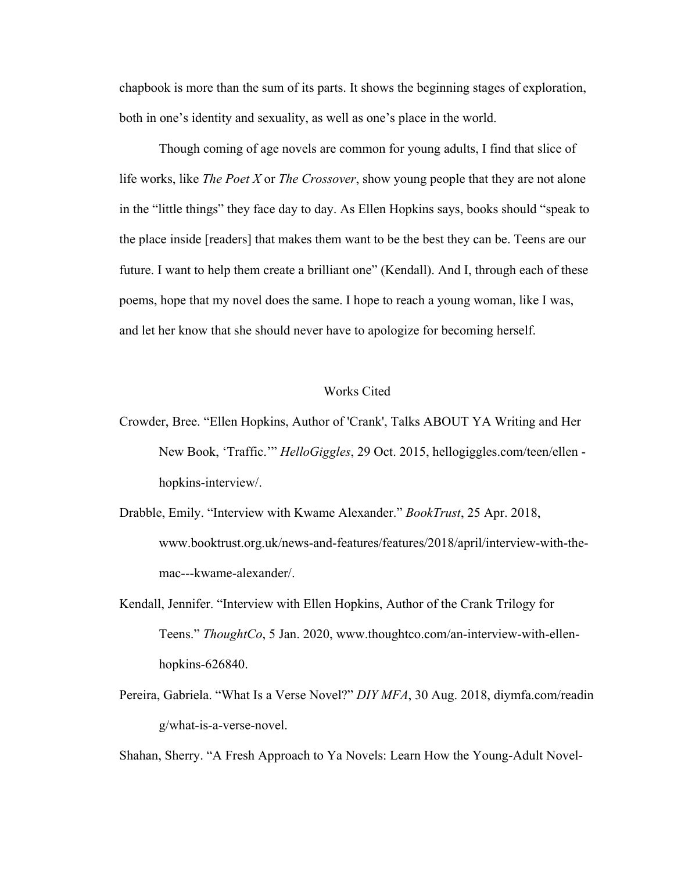chapbook is more than the sum of its parts. It shows the beginning stages of exploration, both in one's identity and sexuality, as well as one's place in the world.

Though coming of age novels are common for young adults, I find that slice of life works, like *The Poet X* or *The Crossover*, show young people that they are not alone in the "little things" they face day to day. As Ellen Hopkins says, books should "speak to the place inside [readers] that makes them want to be the best they can be. Teens are our future. I want to help them create a brilliant one" (Kendall). And I, through each of these poems, hope that my novel does the same. I hope to reach a young woman, like I was, and let her know that she should never have to apologize for becoming herself.

#### Works Cited

- Crowder, Bree. "Ellen Hopkins, Author of 'Crank', Talks ABOUT YA Writing and Her New Book, 'Traffic.'" *HelloGiggles*, 29 Oct. 2015, hellogiggles.com/teen/ellen hopkins-interview/.
- Drabble, Emily. "Interview with Kwame Alexander." *BookTrust*, 25 Apr. 2018, www.booktrust.org.uk/news-and-features/features/2018/april/interview-with-themac---kwame-alexander/.
- Kendall, Jennifer. "Interview with Ellen Hopkins, Author of the Crank Trilogy for Teens." *ThoughtCo*, 5 Jan. 2020, www.thoughtco.com/an-interview-with-ellenhopkins-626840.
- Pereira, Gabriela. "What Is a Verse Novel?" *DIY MFA*, 30 Aug. 2018, diymfa.com/readin g/what-is-a-verse-novel.

Shahan, Sherry. "A Fresh Approach to Ya Novels: Learn How the Young-Adult Novel-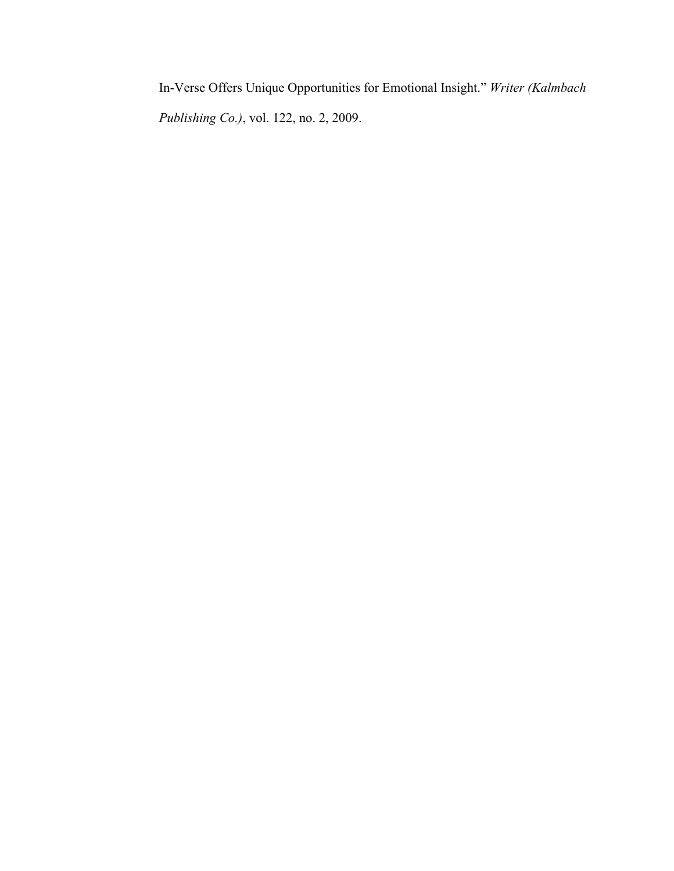In-Verse Offers Unique Opportunities for Emotional Insight." *Writer (Kalmbach Publishing Co.)*, vol. 122, no. 2, 2009.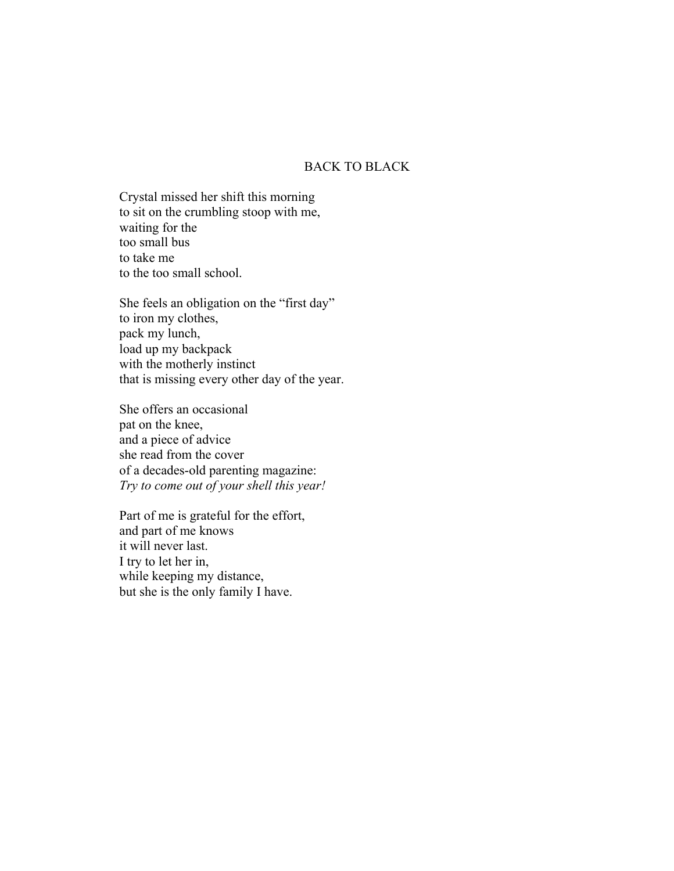## BACK TO BLACK

Crystal missed her shift this morning to sit on the crumbling stoop with me, waiting for the too small bus to take me to the too small school.

She feels an obligation on the "first day" to iron my clothes, pack my lunch, load up my backpack with the motherly instinct that is missing every other day of the year.

She offers an occasional pat on the knee, and a piece of advice she read from the cover of a decades-old parenting magazine: *Try to come out of your shell this year!*

Part of me is grateful for the effort, and part of me knows it will never last. I try to let her in, while keeping my distance, but she is the only family I have.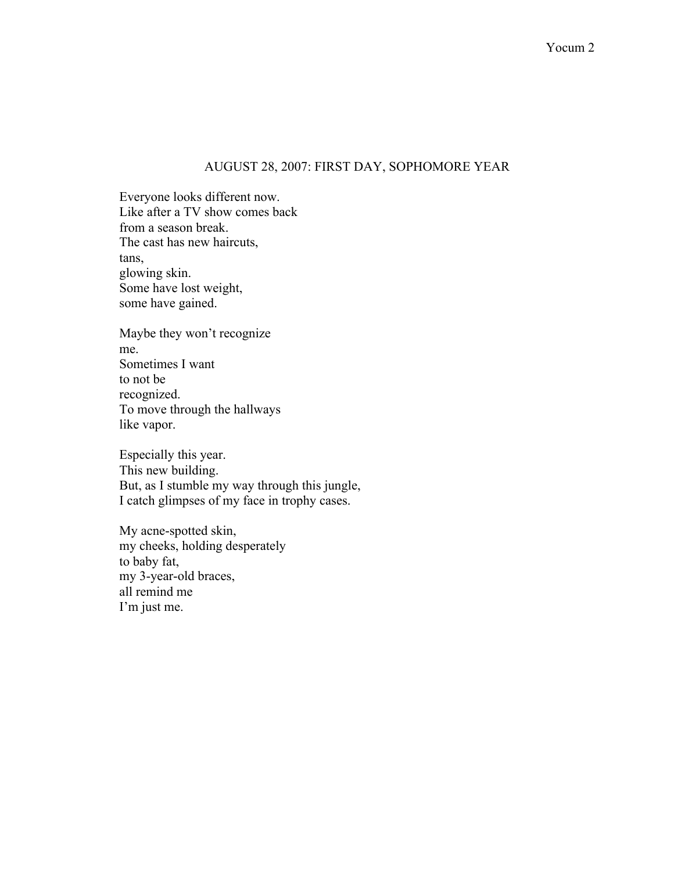### AUGUST 28, 2007: FIRST DAY, SOPHOMORE YEAR

Everyone looks different now. Like after a TV show comes back from a season break. The cast has new haircuts, tans, glowing skin. Some have lost weight, some have gained.

Maybe they won't recognize me. Sometimes I want to not be recognized. To move through the hallways like vapor.

Especially this year. This new building. But, as I stumble my way through this jungle, I catch glimpses of my face in trophy cases.

My acne-spotted skin, my cheeks, holding desperately to baby fat, my 3-year-old braces, all remind me I'm just me.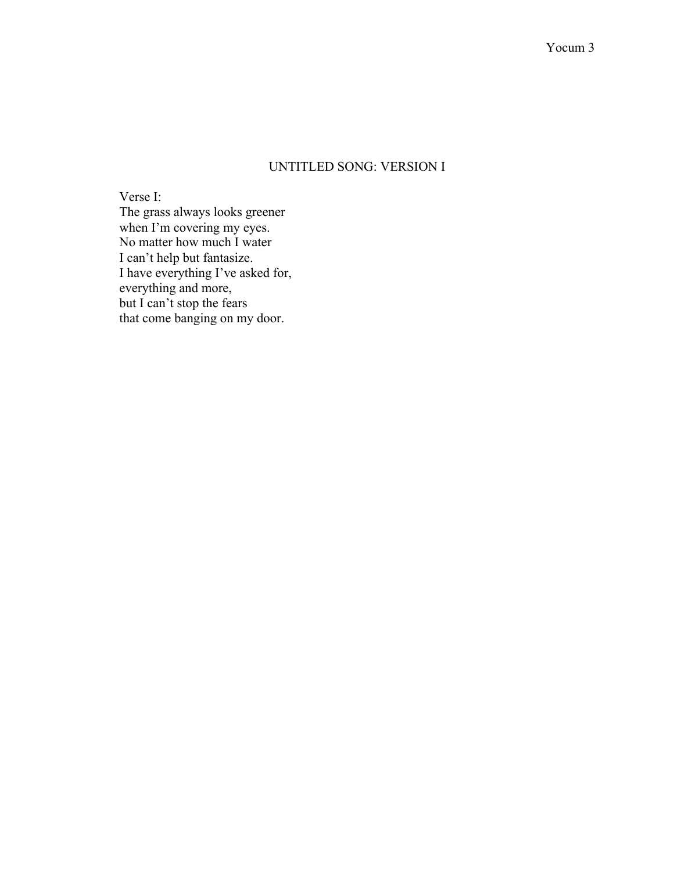# UNTITLED SONG: VERSION I

Verse I: The grass always looks greener when I'm covering my eyes. No matter how much I water I can't help but fantasize. I have everything I've asked for, everything and more, but I can't stop the fears that come banging on my door.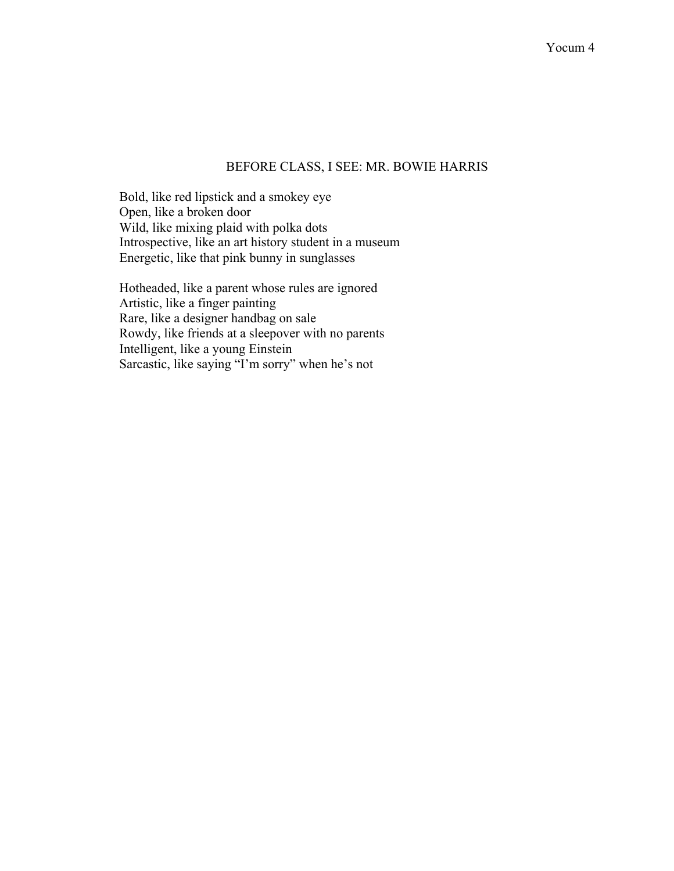## BEFORE CLASS, I SEE: MR. BOWIE HARRIS

Bold, like red lipstick and a smokey eye Open, like a broken door Wild, like mixing plaid with polka dots Introspective, like an art history student in a museum Energetic, like that pink bunny in sunglasses

Hotheaded, like a parent whose rules are ignored Artistic, like a finger painting Rare, like a designer handbag on sale Rowdy, like friends at a sleepover with no parents Intelligent, like a young Einstein Sarcastic, like saying "I'm sorry" when he's not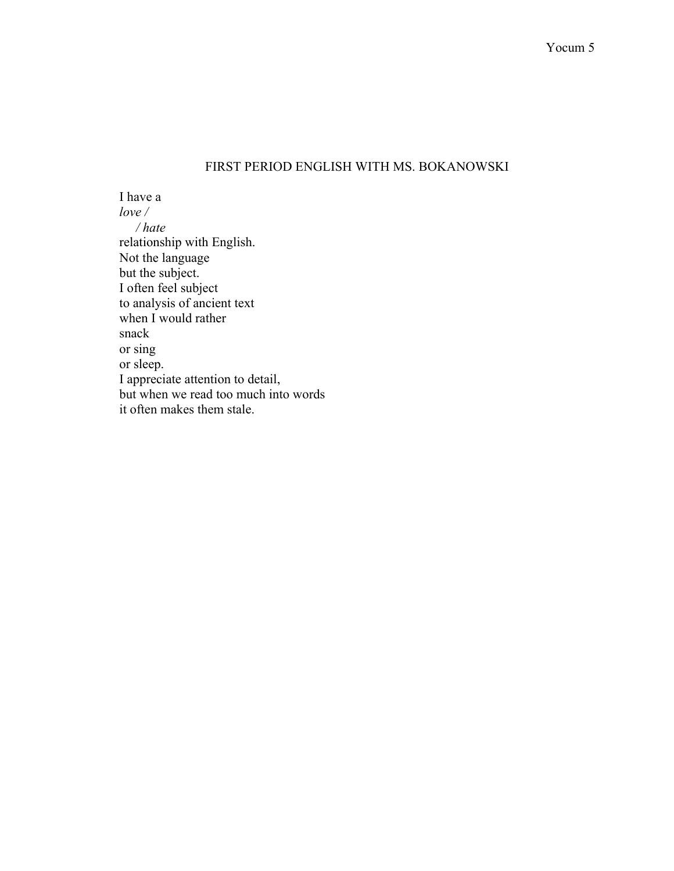# FIRST PERIOD ENGLISH WITH MS. BOKANOWSKI

I have a *love / / hate* relationship with English. Not the language but the subject. I often feel subject to analysis of ancient text when I would rather snack or sing or sleep. I appreciate attention to detail, but when we read too much into words it often makes them stale.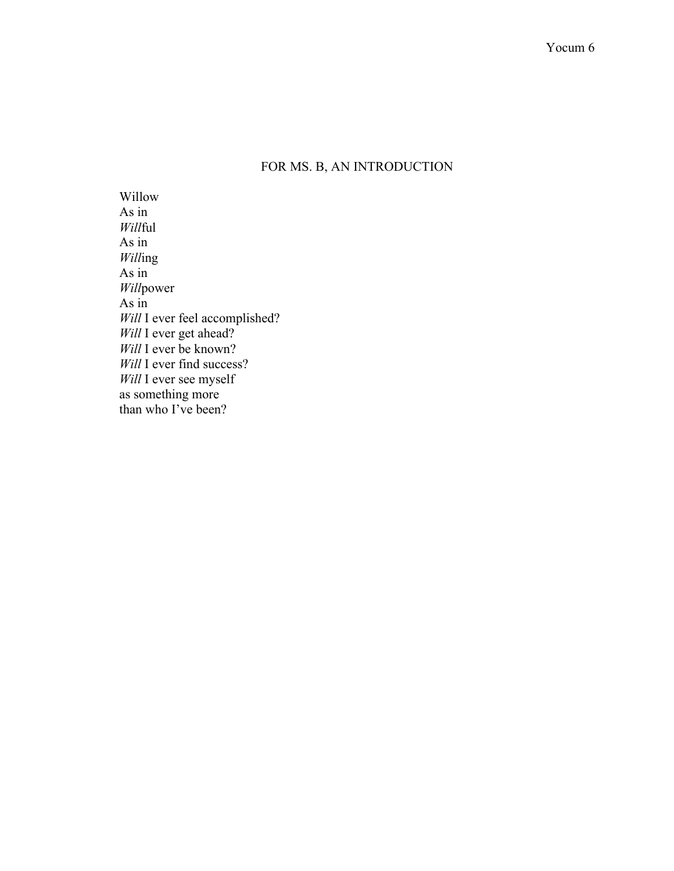# FOR MS. B, AN INTRODUCTION

Willow As in *Will*ful As in *Will*ing As in *Will*power As in Will I ever feel accomplished? *Will* I ever get ahead? *Will* I ever be known? *Will* I ever find success? *Will* I ever see myself as something more than who I've been?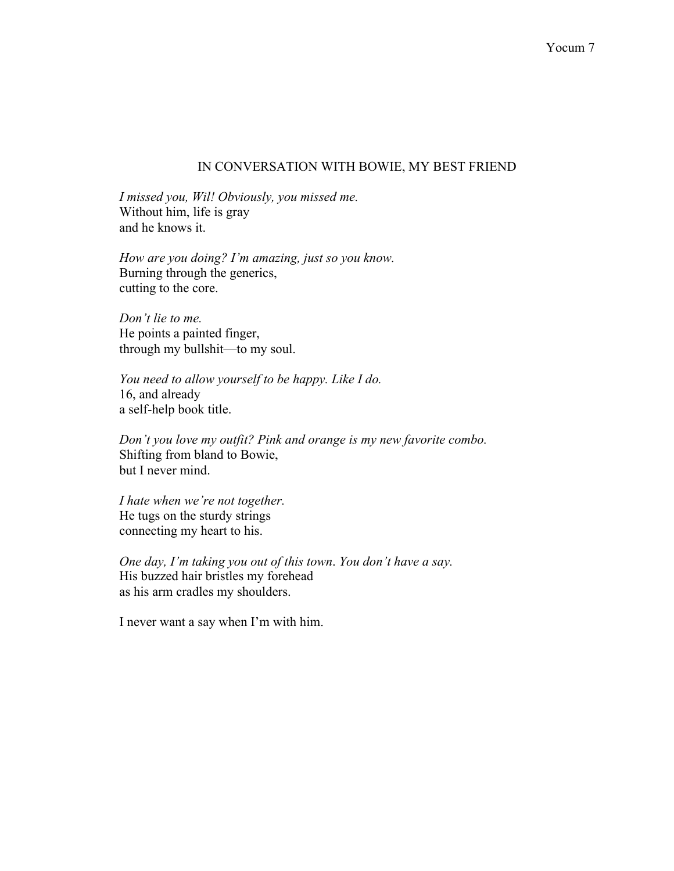### IN CONVERSATION WITH BOWIE, MY BEST FRIEND

*I missed you, Wil! Obviously, you missed me.* Without him, life is gray and he knows it.

*How are you doing? I'm amazing, just so you know.* Burning through the generics, cutting to the core.

*Don't lie to me.* He points a painted finger, through my bullshit—to my soul.

*You need to allow yourself to be happy. Like I do.* 16, and already a self-help book title.

*Don't you love my outfit? Pink and orange is my new favorite combo.* Shifting from bland to Bowie, but I never mind.

*I hate when we're not together.*  He tugs on the sturdy strings connecting my heart to his.

*One day, I'm taking you out of this town*. *You don't have a say.* His buzzed hair bristles my forehead as his arm cradles my shoulders.

I never want a say when I'm with him.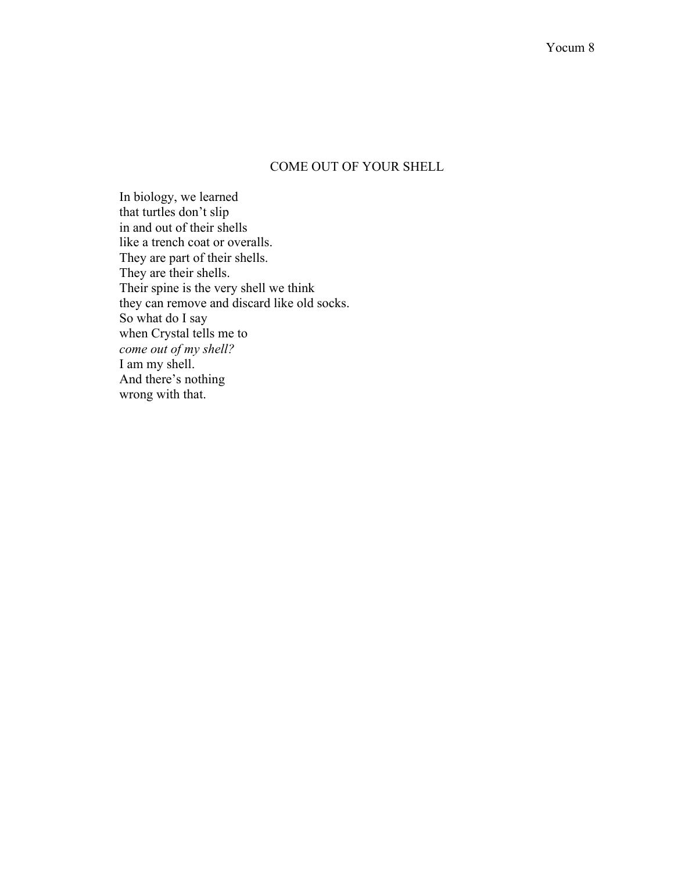# COME OUT OF YOUR SHELL

In biology, we learned that turtles don't slip in and out of their shells like a trench coat or overalls. They are part of their shells. They are their shells. Their spine is the very shell we think they can remove and discard like old socks. So what do I say when Crystal tells me to *come out of my shell?* I am my shell. And there's nothing wrong with that.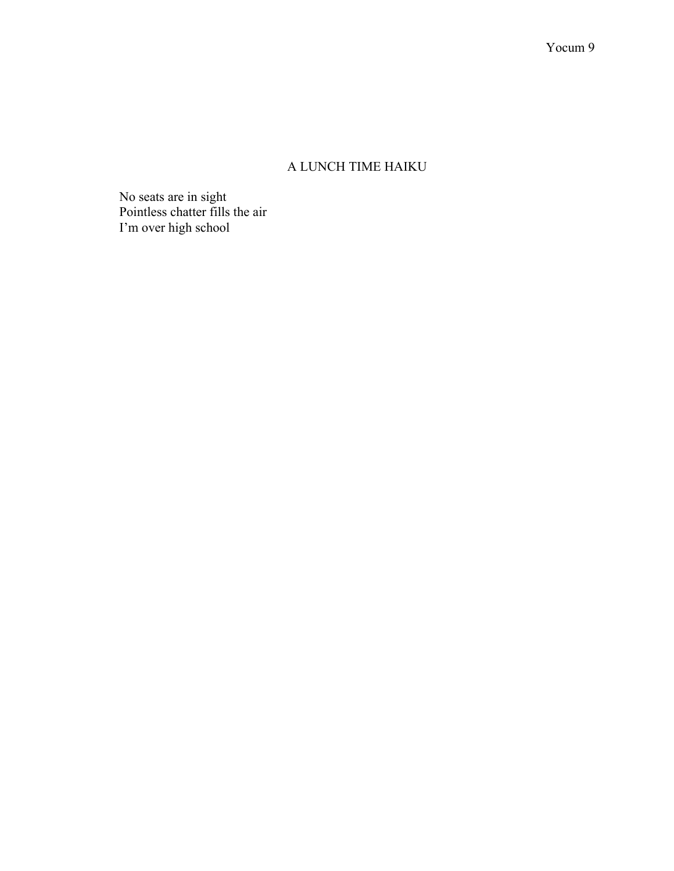# A LUNCH TIME HAIKU

No seats are in sight Pointless chatter fills the air I'm over high school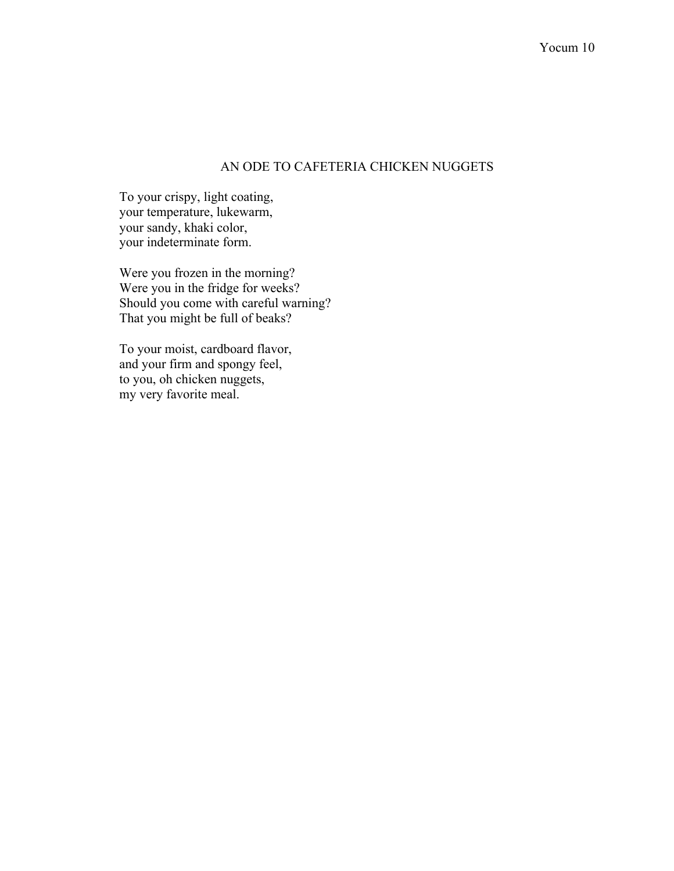### AN ODE TO CAFETERIA CHICKEN NUGGETS

To your crispy, light coating, your temperature, lukewarm, your sandy, khaki color, your indeterminate form.

Were you frozen in the morning? Were you in the fridge for weeks? Should you come with careful warning? That you might be full of beaks?

To your moist, cardboard flavor, and your firm and spongy feel, to you, oh chicken nuggets, my very favorite meal.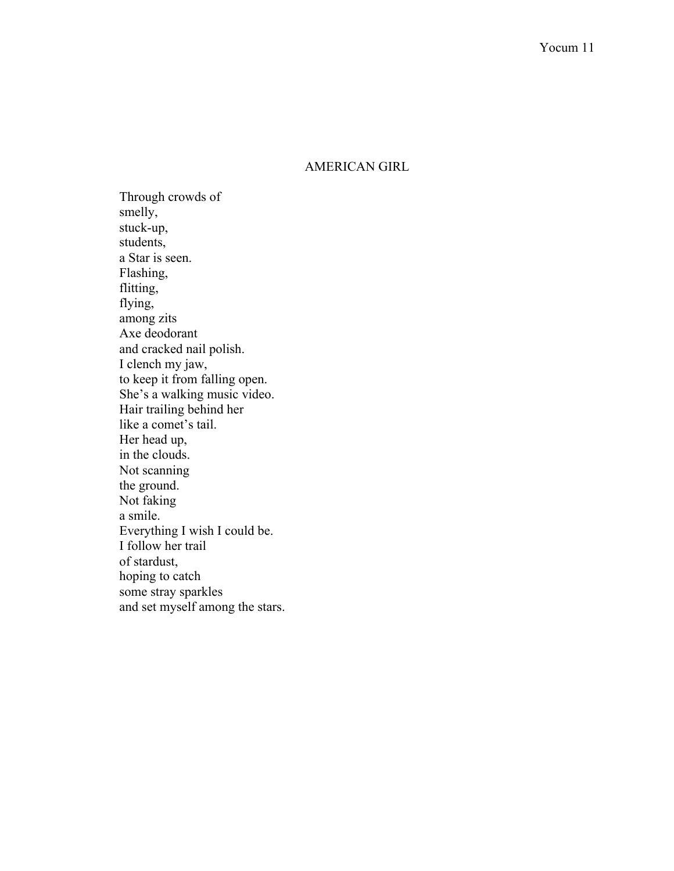## AMERICAN GIRL

Through crowds of smelly, stuck-up, students, a Star is seen. Flashing, flitting, flying, among zits Axe deodorant and cracked nail polish. I clench my jaw, to keep it from falling open. She's a walking music video. Hair trailing behind her like a comet's tail. Her head up, in the clouds. Not scanning the ground. Not faking a smile. Everything I wish I could be. I follow her trail of stardust, hoping to catch some stray sparkles and set myself among the stars.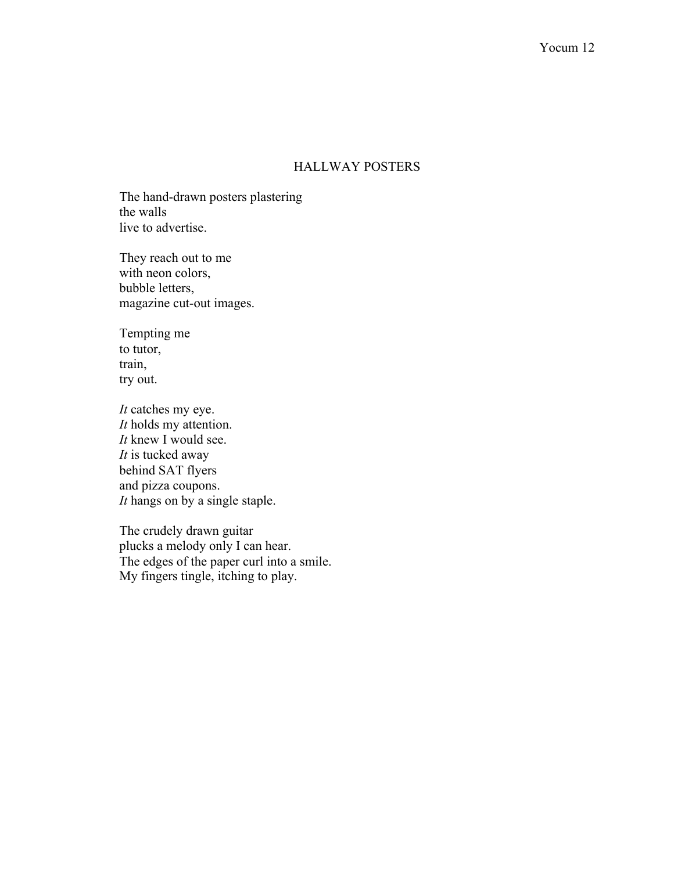## HALLWAY POSTERS

The hand-drawn posters plastering the walls live to advertise.

They reach out to me with neon colors, bubble letters, magazine cut-out images.

Tempting me to tutor, train, try out.

*It* catches my eye. *It* holds my attention. *It* knew I would see. *It* is tucked away behind SAT flyers and pizza coupons. *It* hangs on by a single staple.

The crudely drawn guitar plucks a melody only I can hear. The edges of the paper curl into a smile. My fingers tingle, itching to play.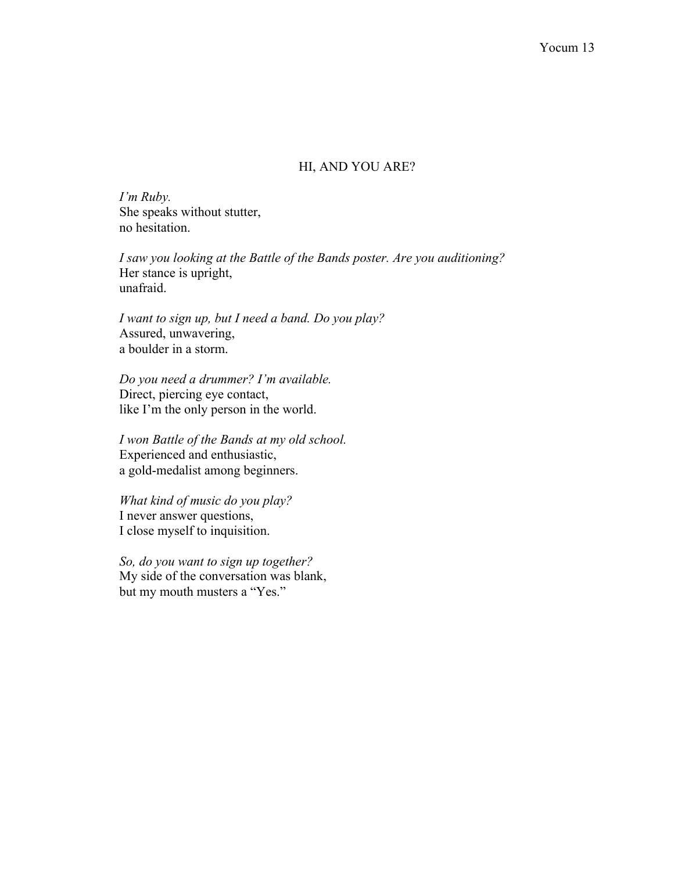### HI, AND YOU ARE?

*I'm Ruby.* She speaks without stutter, no hesitation.

*I saw you looking at the Battle of the Bands poster. Are you auditioning?* Her stance is upright, unafraid.

*I want to sign up, but I need a band. Do you play?* Assured, unwavering, a boulder in a storm.

*Do you need a drummer? I'm available.* Direct, piercing eye contact, like I'm the only person in the world.

*I won Battle of the Bands at my old school.* Experienced and enthusiastic, a gold-medalist among beginners.

*What kind of music do you play?* I never answer questions, I close myself to inquisition.

*So, do you want to sign up together?* My side of the conversation was blank, but my mouth musters a "Yes."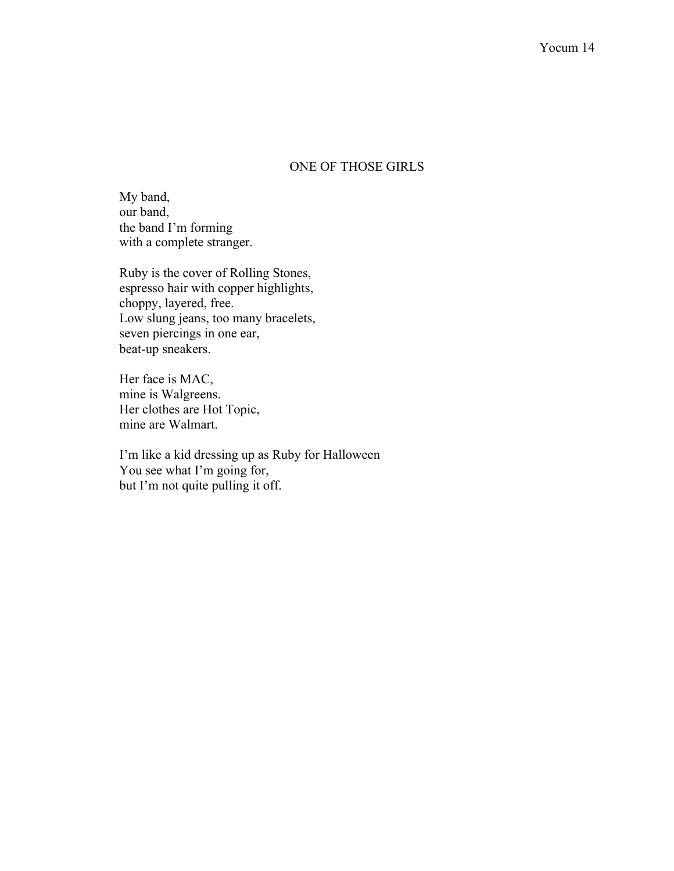## ONE OF THOSE GIRLS

My band, our band, the band I'm forming with a complete stranger.

Ruby is the cover of Rolling Stones, espresso hair with copper highlights, choppy, layered, free. Low slung jeans, too many bracelets, seven piercings in one ear, beat-up sneakers.

Her face is MAC, mine is Walgreens. Her clothes are Hot Topic, mine are Walmart.

I'm like a kid dressing up as Ruby for Halloween You see what I'm going for, but I'm not quite pulling it off.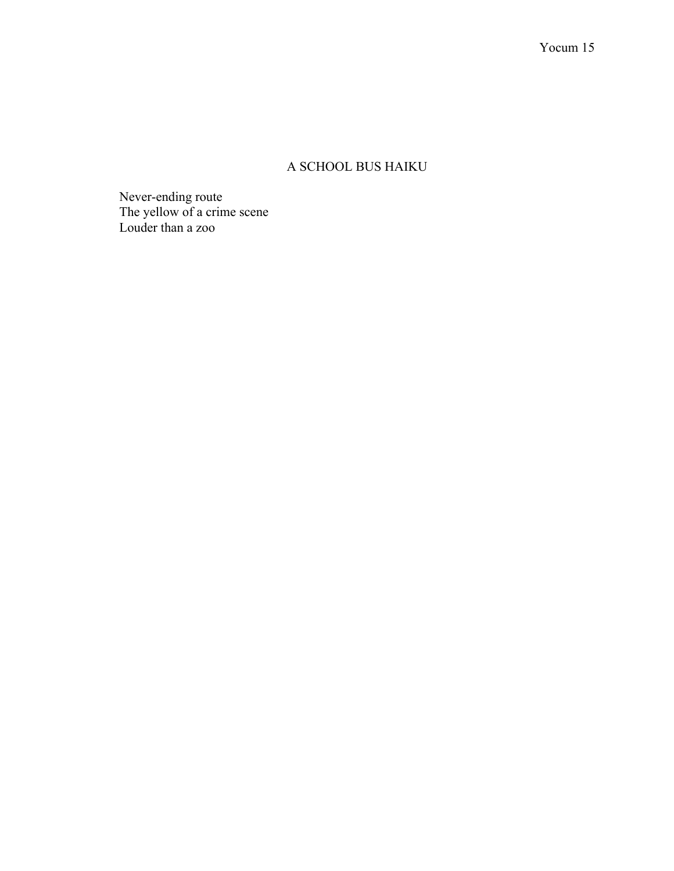# A SCHOOL BUS HAIKU

Never-ending route The yellow of a crime scene Louder than a zoo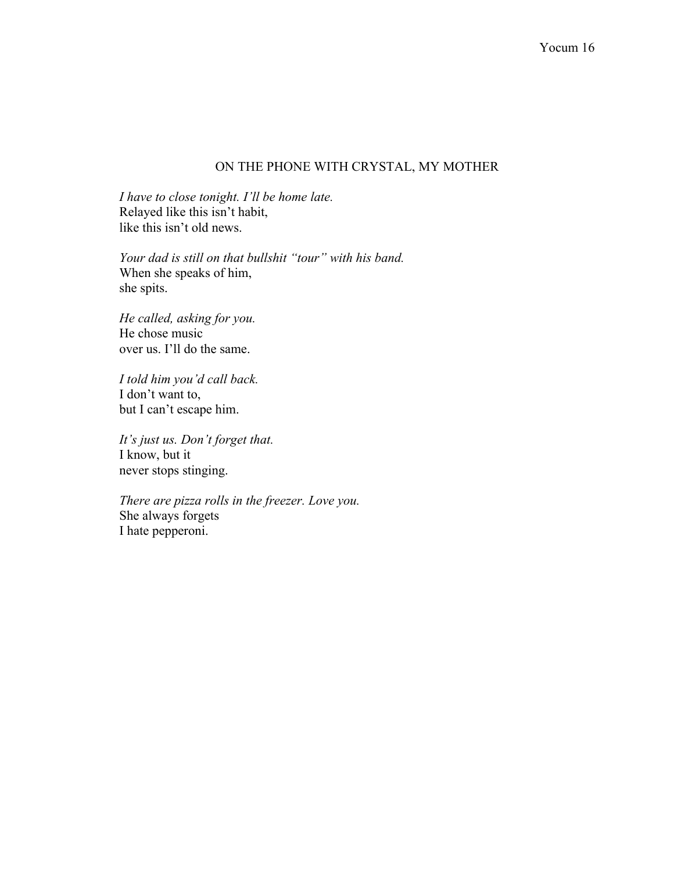### ON THE PHONE WITH CRYSTAL, MY MOTHER

*I have to close tonight. I'll be home late.*  Relayed like this isn't habit, like this isn't old news.

*Your dad is still on that bullshit "tour" with his band.*  When she speaks of him, she spits.

*He called, asking for you.* He chose music over us. I'll do the same.

*I told him you'd call back.* I don't want to, but I can't escape him.

*It's just us. Don't forget that.* I know, but it never stops stinging.

*There are pizza rolls in the freezer. Love you.* She always forgets I hate pepperoni.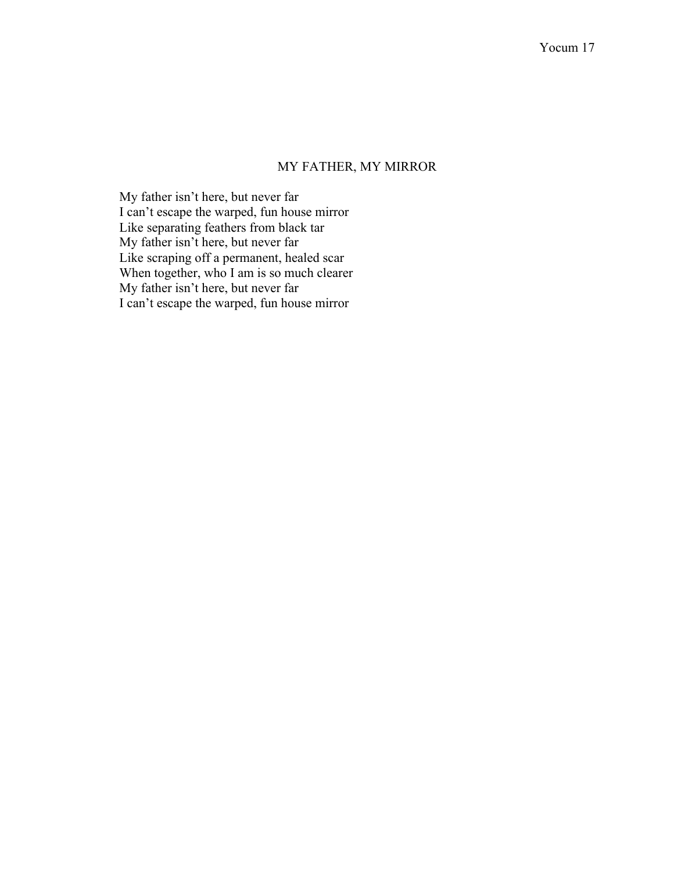## MY FATHER, MY MIRROR

My father isn't here, but never far I can't escape the warped, fun house mirror Like separating feathers from black tar My father isn't here, but never far Like scraping off a permanent, healed scar When together, who I am is so much clearer My father isn't here, but never far I can't escape the warped, fun house mirror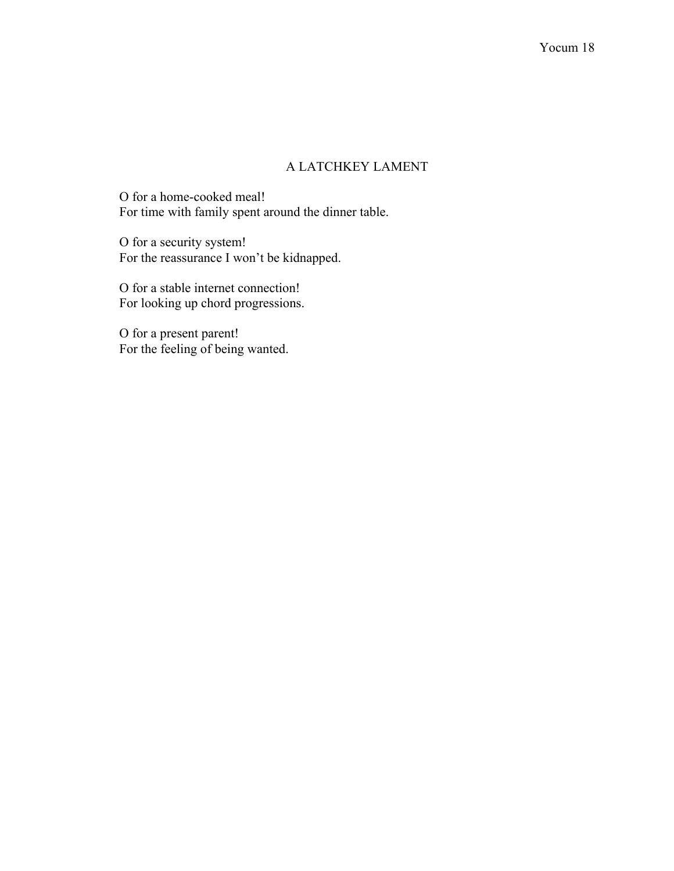# A LATCHKEY LAMENT

O for a home-cooked meal! For time with family spent around the dinner table.

O for a security system! For the reassurance I won't be kidnapped.

O for a stable internet connection! For looking up chord progressions.

O for a present parent! For the feeling of being wanted.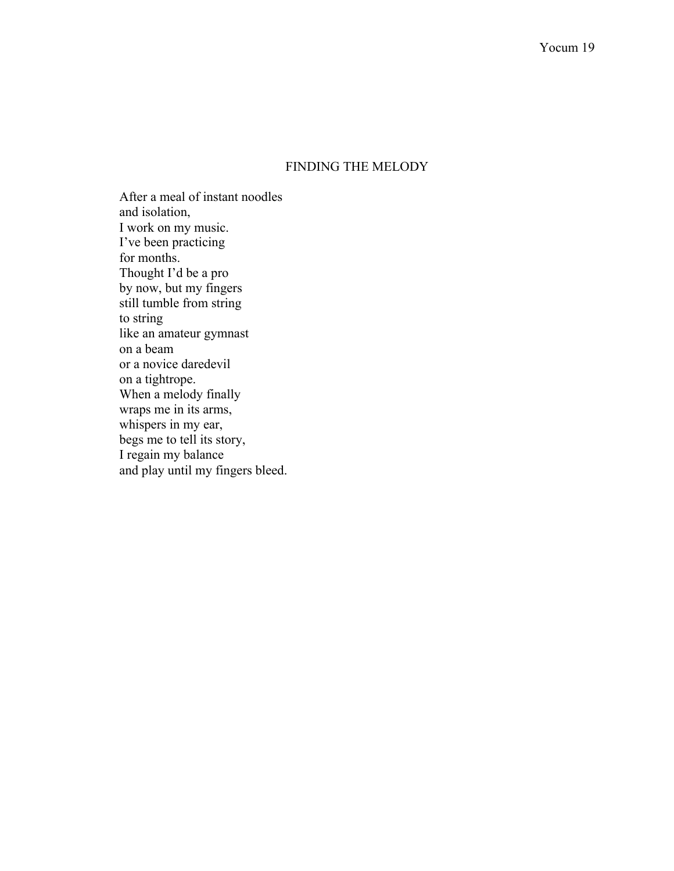## FINDING THE MELODY

After a meal of instant noodles and isolation, I work on my music. I've been practicing for months. Thought I'd be a pro by now, but my fingers still tumble from string to string like an amateur gymnast on a beam or a novice daredevil on a tightrope. When a melody finally wraps me in its arms, whispers in my ear, begs me to tell its story, I regain my balance and play until my fingers bleed.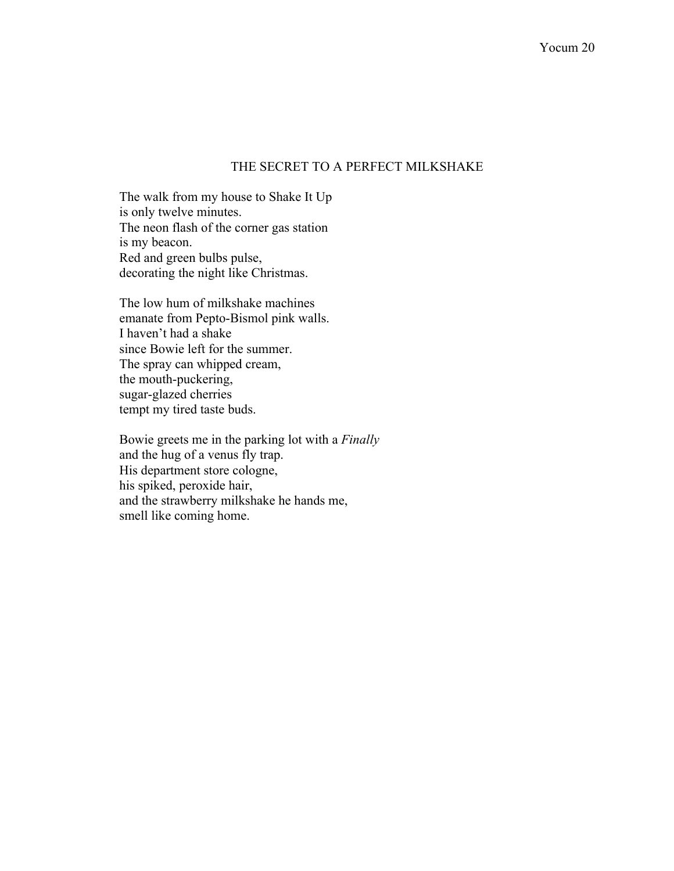### THE SECRET TO A PERFECT MILKSHAKE

The walk from my house to Shake It Up is only twelve minutes. The neon flash of the corner gas station is my beacon. Red and green bulbs pulse, decorating the night like Christmas.

The low hum of milkshake machines emanate from Pepto-Bismol pink walls. I haven't had a shake since Bowie left for the summer. The spray can whipped cream, the mouth-puckering, sugar-glazed cherries tempt my tired taste buds.

Bowie greets me in the parking lot with a *Finally*  and the hug of a venus fly trap. His department store cologne, his spiked, peroxide hair, and the strawberry milkshake he hands me, smell like coming home.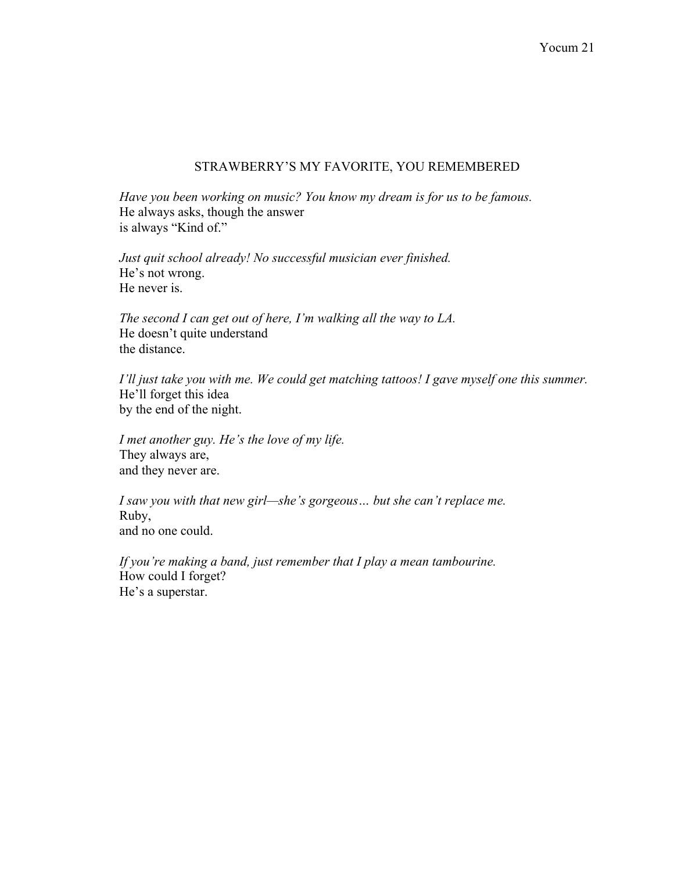## STRAWBERRY'S MY FAVORITE, YOU REMEMBERED

*Have you been working on music? You know my dream is for us to be famous.* He always asks, though the answer is always "Kind of."

*Just quit school already! No successful musician ever finished.* He's not wrong. He never is.

*The second I can get out of here, I'm walking all the way to LA.* He doesn't quite understand the distance.

*I'll just take you with me. We could get matching tattoos! I gave myself one this summer.* He'll forget this idea by the end of the night.

*I met another guy. He's the love of my life.*  They always are, and they never are.

*I saw you with that new girl—she's gorgeous… but she can't replace me.* Ruby, and no one could.

*If you're making a band, just remember that I play a mean tambourine.*  How could I forget? He's a superstar.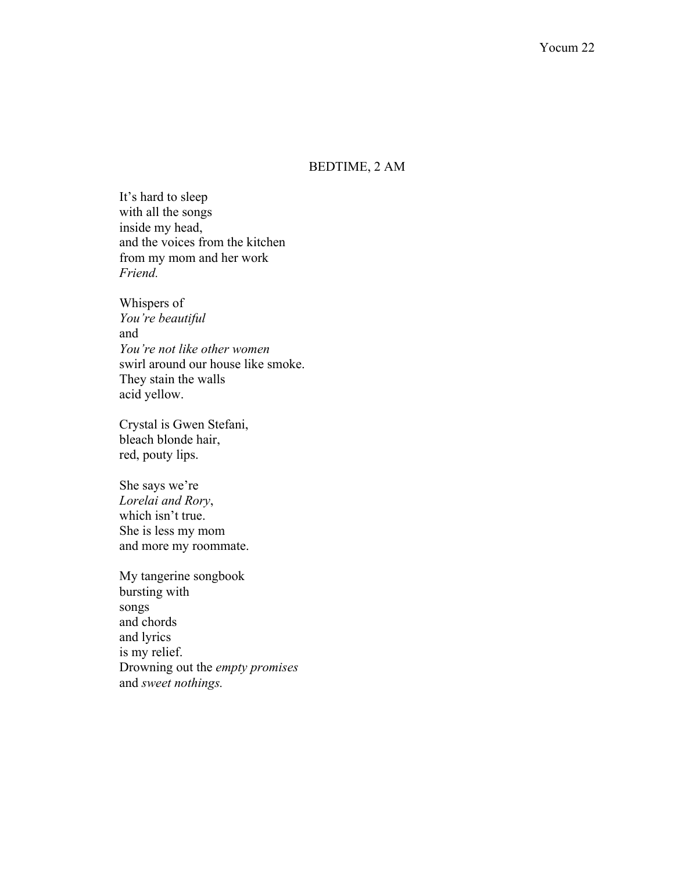## BEDTIME, 2 AM

It's hard to sleep with all the songs inside my head, and the voices from the kitchen from my mom and her work *Friend.*

Whispers of *You're beautiful*  and *You're not like other women* swirl around our house like smoke. They stain the walls acid yellow.

Crystal is Gwen Stefani, bleach blonde hair, red, pouty lips.

She says we're *Lorelai and Rory*, which isn't true. She is less my mom and more my roommate.

My tangerine songbook bursting with songs and chords and lyrics is my relief. Drowning out the *empty promises* and *sweet nothings.*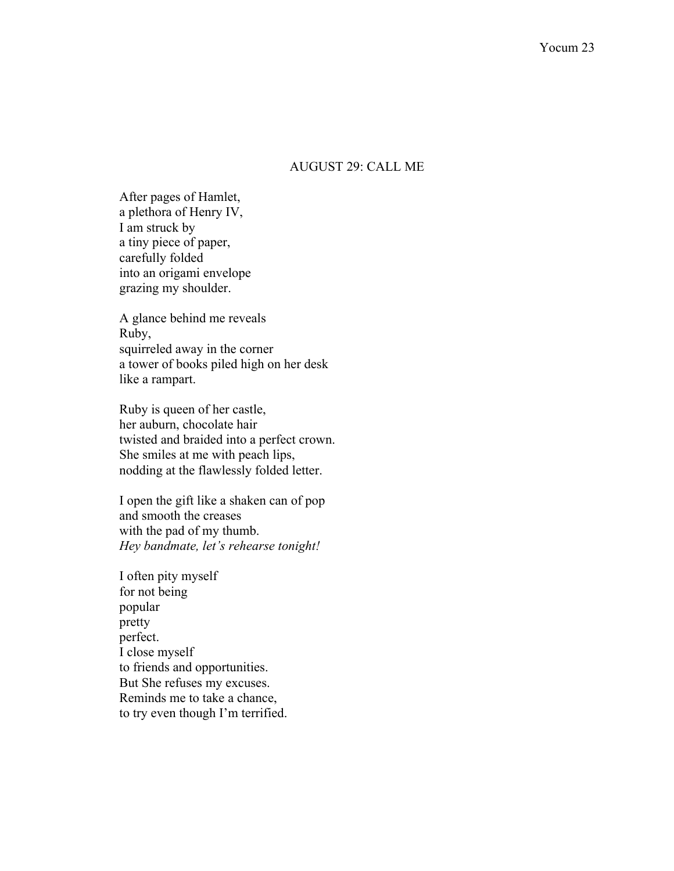### AUGUST 29: CALL ME

After pages of Hamlet, a plethora of Henry IV, I am struck by a tiny piece of paper, carefully folded into an origami envelope grazing my shoulder.

A glance behind me reveals Ruby, squirreled away in the corner a tower of books piled high on her desk like a rampart.

Ruby is queen of her castle, her auburn, chocolate hair twisted and braided into a perfect crown. She smiles at me with peach lips, nodding at the flawlessly folded letter.

I open the gift like a shaken can of pop and smooth the creases with the pad of my thumb. *Hey bandmate, let's rehearse tonight!*

I often pity myself for not being popular pretty perfect. I close myself to friends and opportunities. But She refuses my excuses. Reminds me to take a chance, to try even though I'm terrified.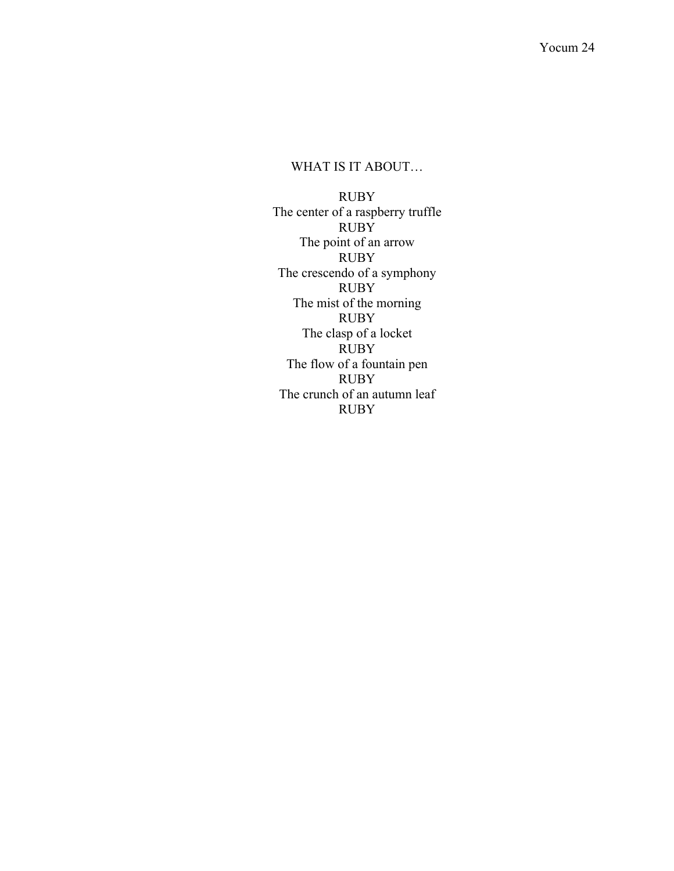# WHAT IS IT ABOUT…

RUBY The center of a raspberry truffle RUBY The point of an arrow RUBY The crescendo of a symphony RUBY The mist of the morning RUBY The clasp of a locket RUBY The flow of a fountain pen RUBY The crunch of an autumn leaf RUBY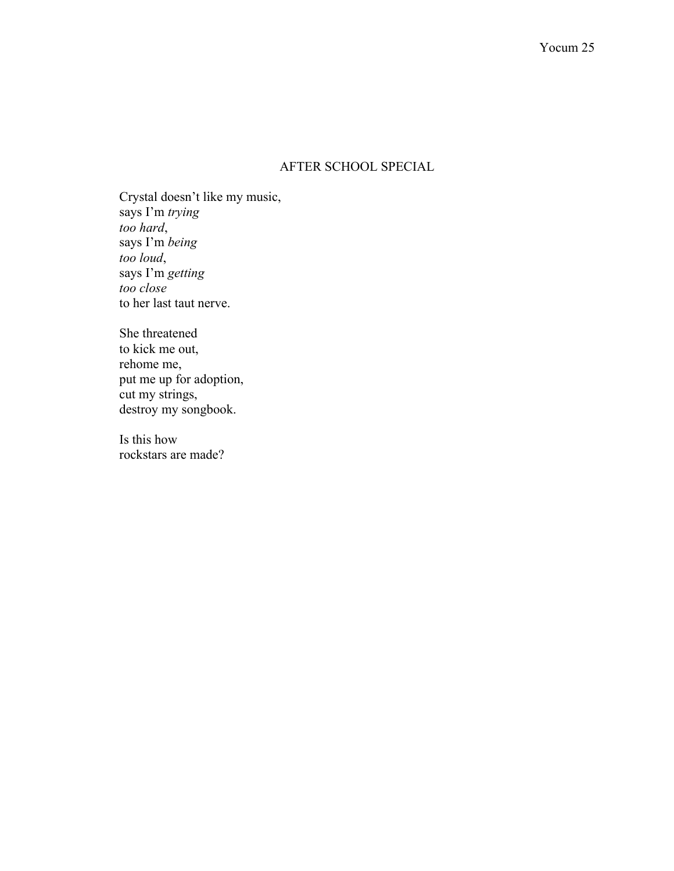## AFTER SCHOOL SPECIAL

Crystal doesn't like my music, says I'm *trying too hard*, says I'm *being too loud*, says I'm *getting too close* to her last taut nerve.

She threatened to kick me out, rehome me, put me up for adoption, cut my strings, destroy my songbook.

Is this how rockstars are made?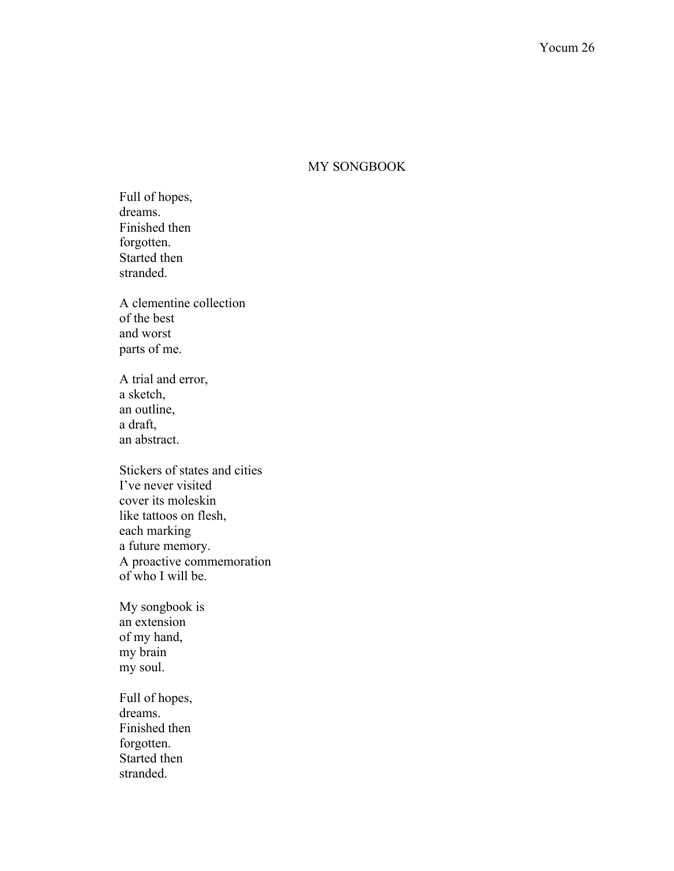### MY SONGBOOK

Full of hopes, dreams. Finished then forgotten. Started then stranded.

A clementine collection of the best and worst parts of me.

A trial and error, a sketch, an outline, a draft, an abstract.

Stickers of states and cities I've never visited cover its moleskin like tattoos on flesh, each marking a future memory. A proactive commemoration of who I will be.

My songbook is an extension of my hand, my brain my soul.

Full of hopes, dreams. Finished then forgotten. Started then stranded.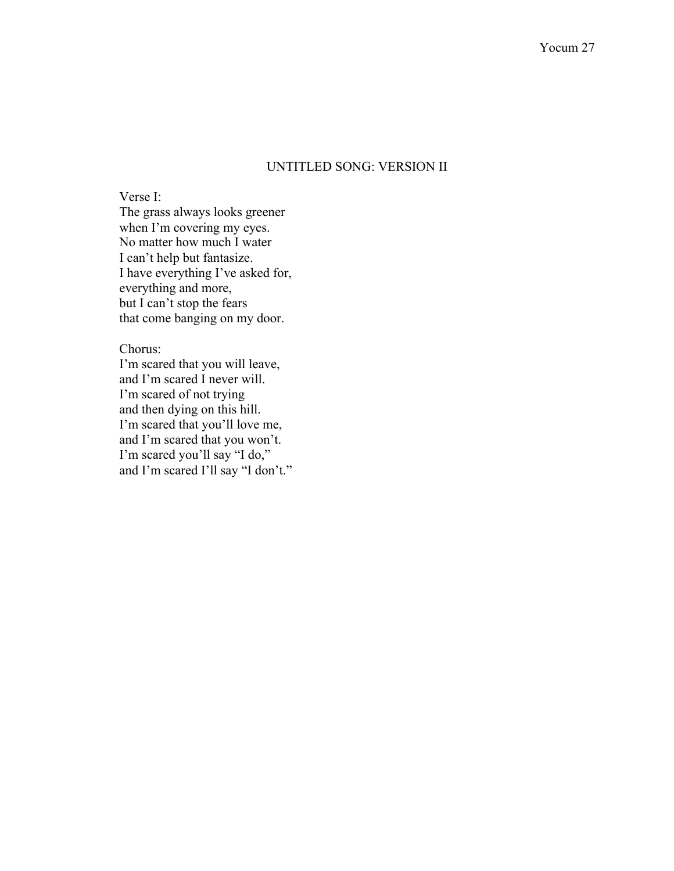## UNTITLED SONG: VERSION II

Verse I: The grass always looks greener when I'm covering my eyes. No matter how much I water I can't help but fantasize. I have everything I've asked for, everything and more, but I can't stop the fears that come banging on my door.

#### Chorus:

I'm scared that you will leave, and I'm scared I never will. I'm scared of not trying and then dying on this hill. I'm scared that you'll love me, and I'm scared that you won't. I'm scared you'll say "I do," and I'm scared I'll say "I don't."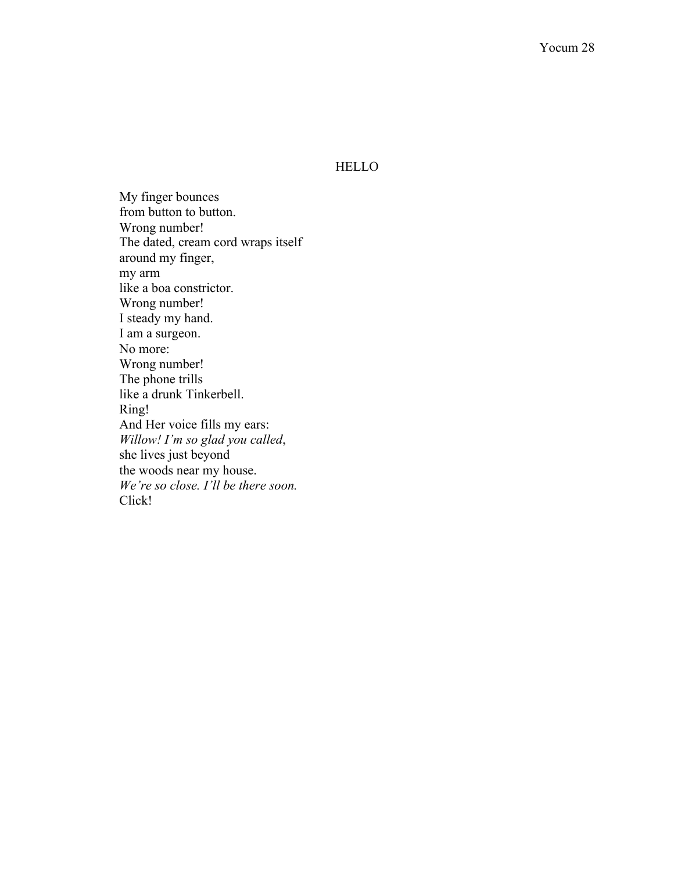### HELLO

My finger bounces from button to button. Wrong number! The dated, cream cord wraps itself around my finger, my arm like a boa constrictor. Wrong number! I steady my hand. I am a surgeon. No more: Wrong number! The phone trills like a drunk Tinkerbell. Ring! And Her voice fills my ears: *Willow! I'm so glad you called*, she lives just beyond the woods near my house. *We're so close. I'll be there soon.* Click!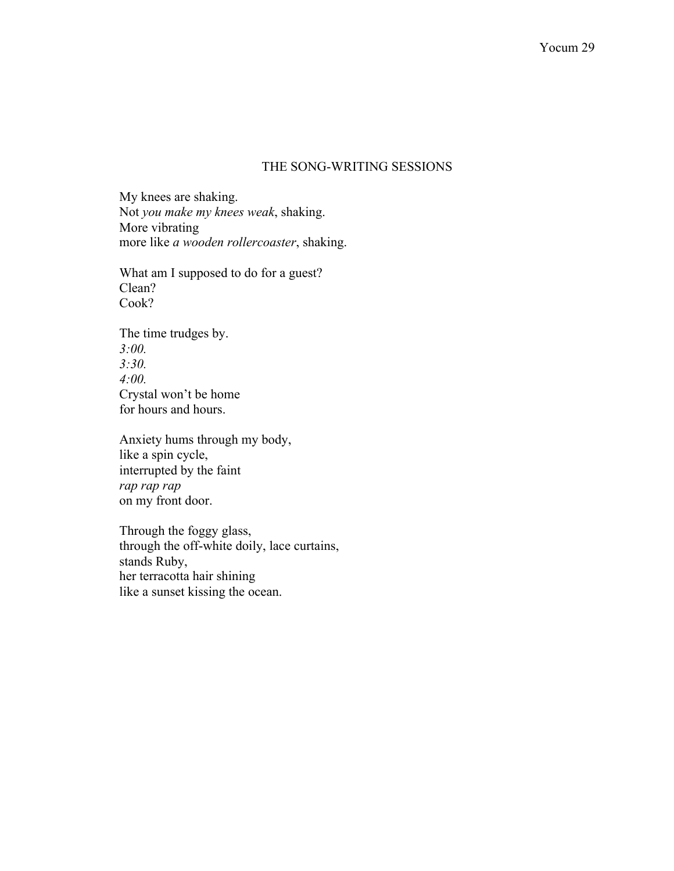### THE SONG-WRITING SESSIONS

My knees are shaking. Not *you make my knees weak*, shaking. More vibrating more like *a wooden rollercoaster*, shaking.

What am I supposed to do for a guest? Clean? Cook?

The time trudges by. *3:00. 3:30. 4:00.* Crystal won't be home for hours and hours.

Anxiety hums through my body, like a spin cycle, interrupted by the faint *rap rap rap* on my front door.

Through the foggy glass, through the off-white doily, lace curtains, stands Ruby, her terracotta hair shining like a sunset kissing the ocean.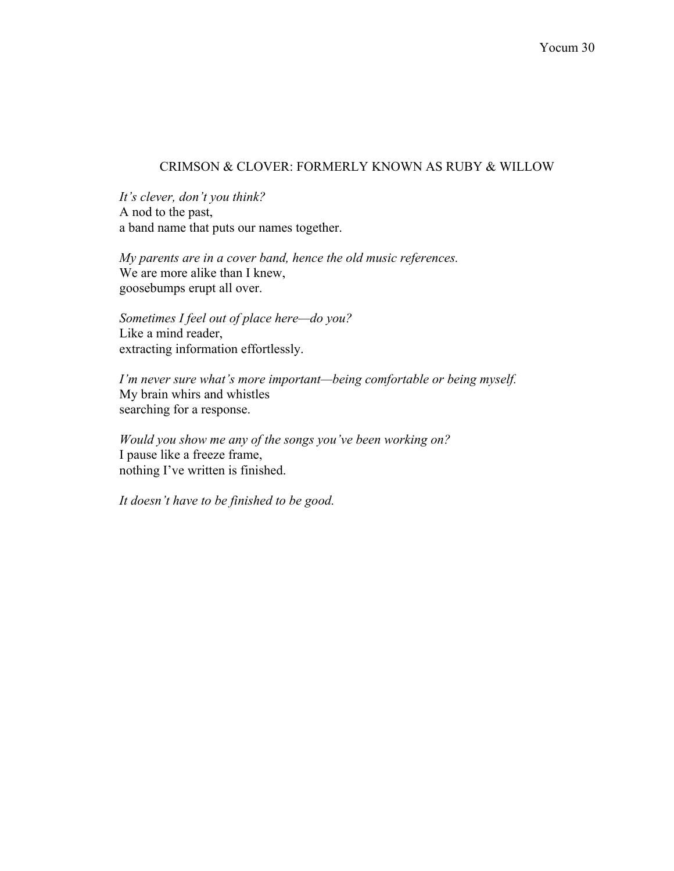## CRIMSON & CLOVER: FORMERLY KNOWN AS RUBY & WILLOW

*It's clever, don't you think?* A nod to the past, a band name that puts our names together.

*My parents are in a cover band, hence the old music references.* We are more alike than I knew, goosebumps erupt all over.

*Sometimes I feel out of place here—do you?* Like a mind reader, extracting information effortlessly.

*I'm never sure what's more important—being comfortable or being myself.* My brain whirs and whistles searching for a response.

*Would you show me any of the songs you've been working on?* I pause like a freeze frame, nothing I've written is finished.

*It doesn't have to be finished to be good.*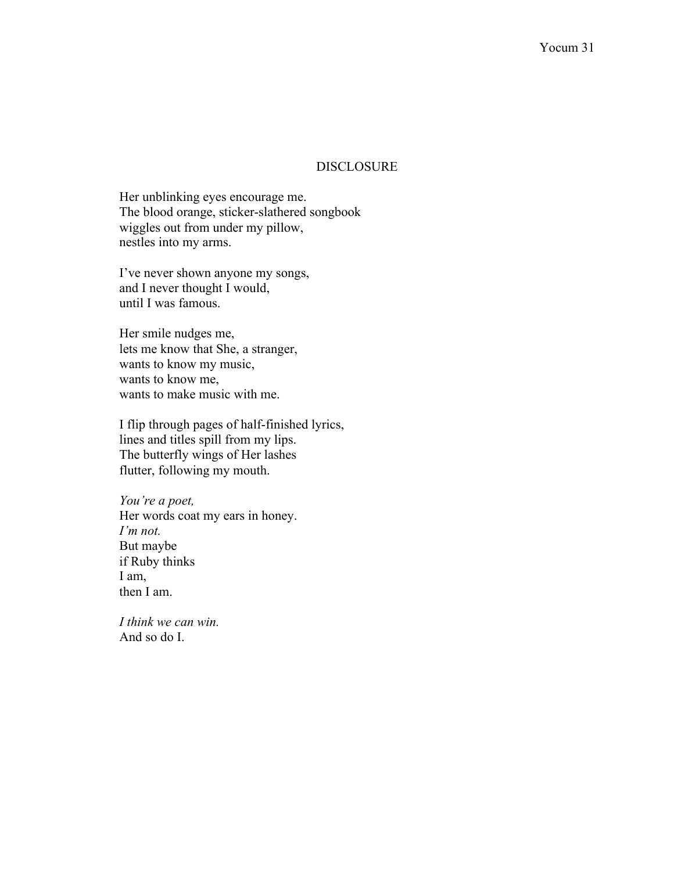### DISCLOSURE

Her unblinking eyes encourage me. The blood orange, sticker-slathered songbook wiggles out from under my pillow, nestles into my arms.

I've never shown anyone my songs, and I never thought I would, until I was famous.

Her smile nudges me, lets me know that She, a stranger, wants to know my music, wants to know me, wants to make music with me.

I flip through pages of half-finished lyrics, lines and titles spill from my lips. The butterfly wings of Her lashes flutter, following my mouth.

*You're a poet,*  Her words coat my ears in honey. *I'm not.* But maybe if Ruby thinks I am, then I am.

*I think we can win.* And so do I.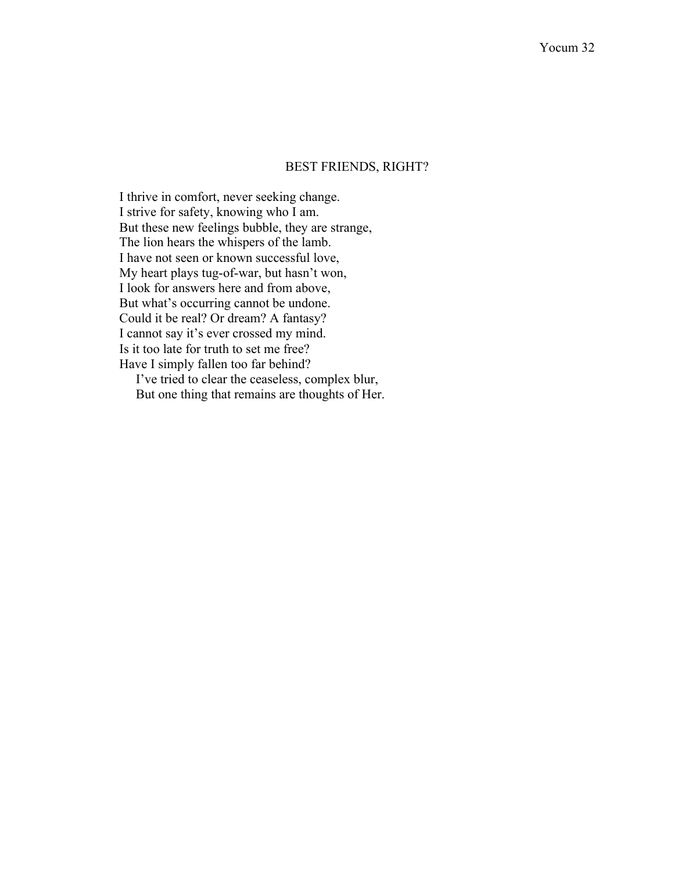### BEST FRIENDS, RIGHT?

I thrive in comfort, never seeking change. I strive for safety, knowing who I am. But these new feelings bubble, they are strange, The lion hears the whispers of the lamb. I have not seen or known successful love, My heart plays tug-of-war, but hasn't won, I look for answers here and from above, But what's occurring cannot be undone. Could it be real? Or dream? A fantasy? I cannot say it's ever crossed my mind. Is it too late for truth to set me free? Have I simply fallen too far behind?

 I've tried to clear the ceaseless, complex blur, But one thing that remains are thoughts of Her.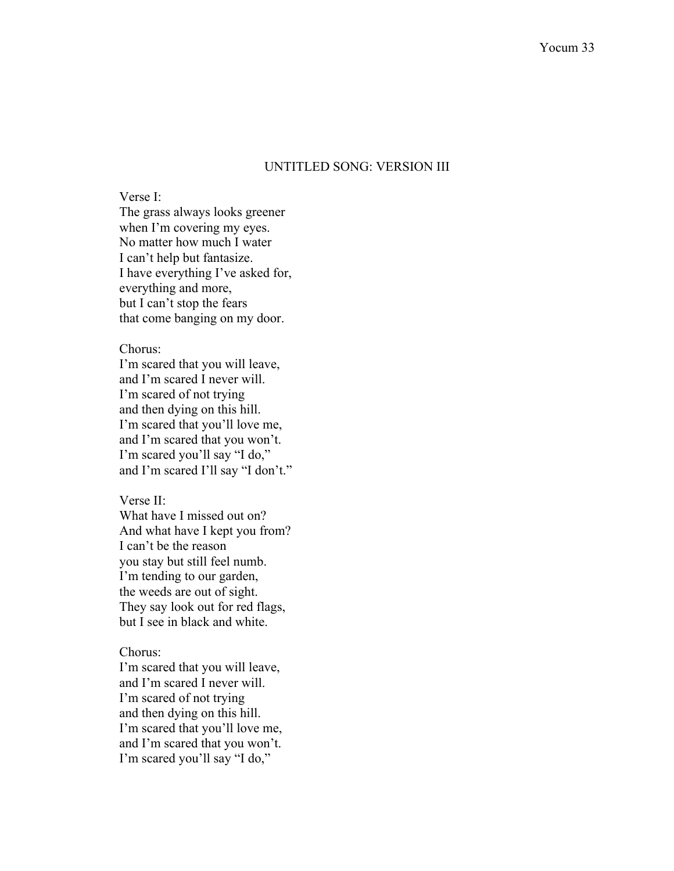### UNTITLED SONG: VERSION III

Verse I: The grass always looks greener when I'm covering my eyes. No matter how much I water I can't help but fantasize. I have everything I've asked for, everything and more, but I can't stop the fears that come banging on my door.

#### Chorus:

I'm scared that you will leave, and I'm scared I never will. I'm scared of not trying and then dying on this hill. I'm scared that you'll love me, and I'm scared that you won't. I'm scared you'll say "I do," and I'm scared I'll say "I don't."

#### Verse II:

What have I missed out on? And what have I kept you from? I can't be the reason you stay but still feel numb. I'm tending to our garden, the weeds are out of sight. They say look out for red flags, but I see in black and white.

#### Chorus:

I'm scared that you will leave, and I'm scared I never will. I'm scared of not trying and then dying on this hill. I'm scared that you'll love me, and I'm scared that you won't. I'm scared you'll say "I do,"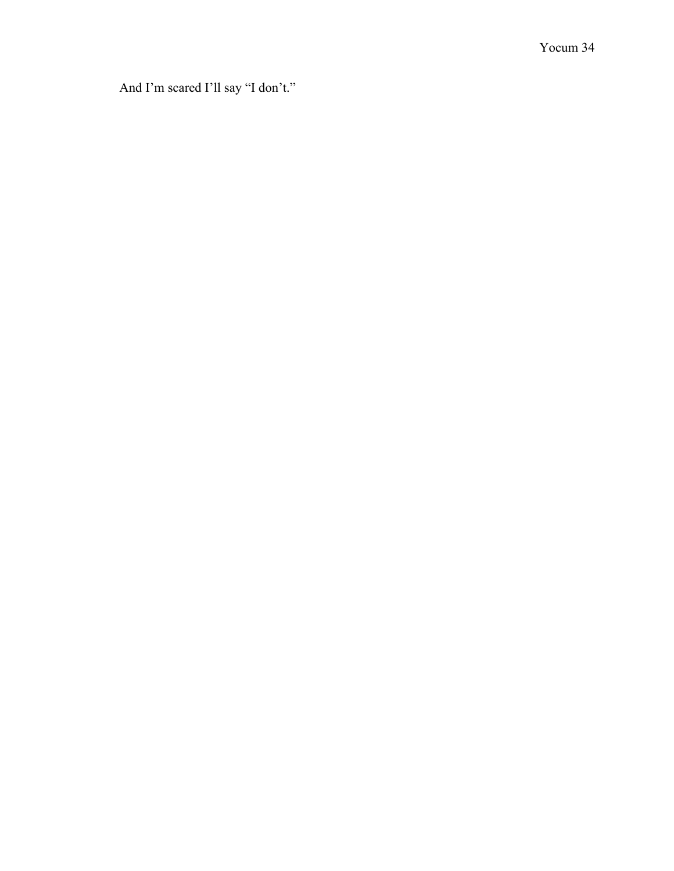And I'm scared I'll say "I don't."